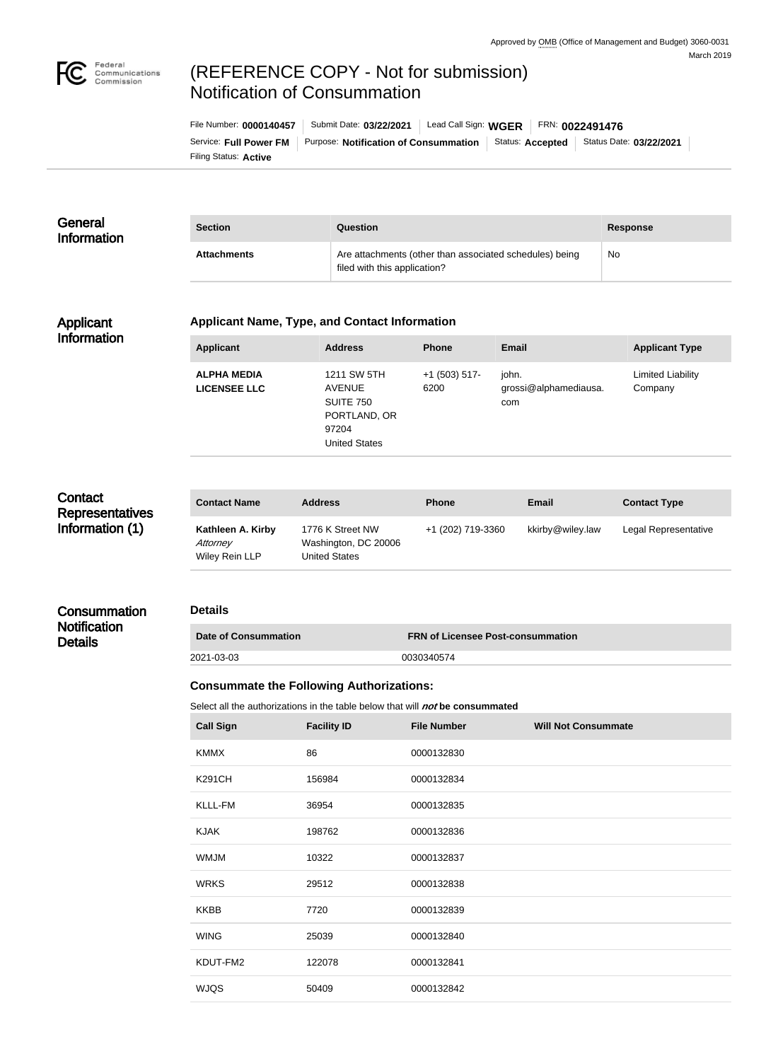

# (REFERENCE COPY - Not for submission) Notification of Consummation

Filing Status: **Active** Service: Full Power FM | Purpose: Notification of Consummation | Status: Accepted | Status Date: 03/22/2021 File Number: **0000140457** Submit Date: **03/22/2021** Lead Call Sign: **WGER** FRN: **0022491476**

#### **General** Information **Section Question Response** Attachments **Attachments** Are attachments (other than associated schedules) being filed with this application? No

#### Applicant Information

#### **Applicant Name, Type, and Contact Information**

| <b>Applicant</b>                          | <b>Address</b>                                                                             | <b>Phone</b>            | Email                                 | <b>Applicant Type</b>        |
|-------------------------------------------|--------------------------------------------------------------------------------------------|-------------------------|---------------------------------------|------------------------------|
| <b>ALPHA MEDIA</b><br><b>LICENSEE LLC</b> | 1211 SW 5TH<br><b>AVENUE</b><br>SUITE 750<br>PORTLAND, OR<br>97204<br><b>United States</b> | $+1$ (503) 517-<br>6200 | john.<br>grossi@alphamediausa.<br>com | Limited Liability<br>Company |

## **Contact Representatives** Information (1)

**Consummation Notification Details** 

| <b>Contact Name</b>                             | <b>Address</b>                                                   | <b>Phone</b>      | Email            | <b>Contact Type</b>  |
|-------------------------------------------------|------------------------------------------------------------------|-------------------|------------------|----------------------|
| Kathleen A. Kirby<br>Attorney<br>Wiley Rein LLP | 1776 K Street NW<br>Washington, DC 20006<br><b>United States</b> | +1 (202) 719-3360 | kkirby@wiley.law | Legal Representative |

# **Details**

| Date of Consummation | <b>FRN of Licensee Post-consummation</b> |  |
|----------------------|------------------------------------------|--|
| 2021-03-03           | 0030340574                               |  |

### **Consummate the Following Authorizations:**

Select all the authorizations in the table below that will *not* be consummated

| <b>Call Sign</b> | <b>Facility ID</b> | <b>File Number</b> | <b>Will Not Consummate</b> |
|------------------|--------------------|--------------------|----------------------------|
| <b>KMMX</b>      | 86                 | 0000132830         |                            |
| <b>K291CH</b>    | 156984             | 0000132834         |                            |
| KLLL-FM          | 36954              | 0000132835         |                            |
| <b>KJAK</b>      | 198762             | 0000132836         |                            |
| <b>WMJM</b>      | 10322              | 0000132837         |                            |
| <b>WRKS</b>      | 29512              | 0000132838         |                            |
| <b>KKBB</b>      | 7720               | 0000132839         |                            |
| <b>WING</b>      | 25039              | 0000132840         |                            |
| KDUT-FM2         | 122078             | 0000132841         |                            |
| <b>WJQS</b>      | 50409              | 0000132842         |                            |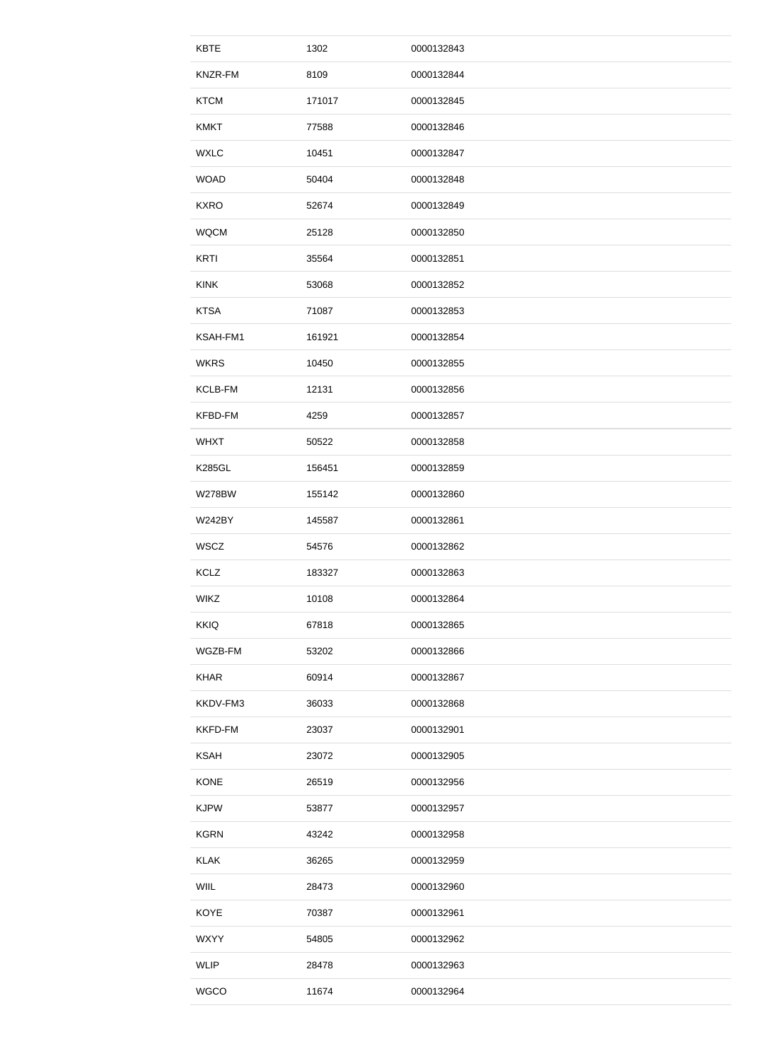| <b>KBTE</b>    | 1302   | 0000132843 |  |
|----------------|--------|------------|--|
| KNZR-FM        | 8109   | 0000132844 |  |
| <b>KTCM</b>    | 171017 | 0000132845 |  |
| <b>KMKT</b>    | 77588  | 0000132846 |  |
| <b>WXLC</b>    | 10451  | 0000132847 |  |
| <b>WOAD</b>    | 50404  | 0000132848 |  |
| <b>KXRO</b>    | 52674  | 0000132849 |  |
| <b>WQCM</b>    | 25128  | 0000132850 |  |
| <b>KRTI</b>    | 35564  | 0000132851 |  |
| <b>KINK</b>    | 53068  | 0000132852 |  |
| <b>KTSA</b>    | 71087  | 0000132853 |  |
| KSAH-FM1       | 161921 | 0000132854 |  |
| <b>WKRS</b>    | 10450  | 0000132855 |  |
| <b>KCLB-FM</b> | 12131  | 0000132856 |  |
| KFBD-FM        | 4259   | 0000132857 |  |
| <b>WHXT</b>    | 50522  | 0000132858 |  |
| <b>K285GL</b>  | 156451 | 0000132859 |  |
| <b>W278BW</b>  | 155142 | 0000132860 |  |
| <b>W242BY</b>  | 145587 | 0000132861 |  |
| WSCZ           | 54576  | 0000132862 |  |
| <b>KCLZ</b>    | 183327 | 0000132863 |  |
| <b>WIKZ</b>    | 10108  | 0000132864 |  |
| <b>KKIQ</b>    | 67818  | 0000132865 |  |
| WGZB-FM        | 53202  | 0000132866 |  |
| <b>KHAR</b>    | 60914  | 0000132867 |  |
| KKDV-FM3       | 36033  | 0000132868 |  |
| <b>KKFD-FM</b> | 23037  | 0000132901 |  |
| <b>KSAH</b>    | 23072  | 0000132905 |  |
| <b>KONE</b>    | 26519  | 0000132956 |  |
| <b>KJPW</b>    | 53877  | 0000132957 |  |
| <b>KGRN</b>    | 43242  | 0000132958 |  |
|                |        |            |  |
| <b>KLAK</b>    | 36265  | 0000132959 |  |
| WIIL           | 28473  | 0000132960 |  |
| <b>KOYE</b>    | 70387  | 0000132961 |  |
| <b>WXYY</b>    | 54805  | 0000132962 |  |
| <b>WLIP</b>    | 28478  | 0000132963 |  |